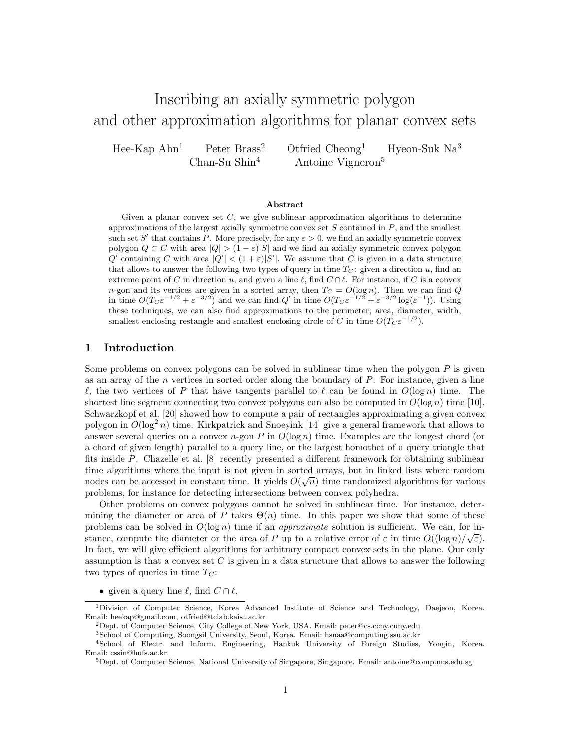# Inscribing an axially symmetric polygon and other approximation algorithms for planar convex sets

Hee-Kap Ahn<sup>1</sup> Peter Brass<sup>2</sup> Otfried Cheong<sup>1</sup> Hyeon-Suk Na<sup>3</sup> Chan-Su Shin<sup>4</sup> Antoine Vigneron<sup>5</sup>

#### Abstract

Given a planar convex set  $C$ , we give sublinear approximation algorithms to determine approximations of the largest axially symmetric convex set  $S$  contained in  $P$ , and the smallest such set S' that contains P. More precisely, for any  $\varepsilon > 0$ , we find an axially symmetric convex polygon  $Q \subset C$  with area  $|Q| > (1 - \varepsilon)|S|$  and we find an axially symmetric convex polygon  $Q'$  containing C with area  $|Q'| < (1+\varepsilon)|S'|$ . We assume that C is given in a data structure that allows to answer the following two types of query in time  $T_C$ : given a direction u, find an extreme point of C in direction u, and given a line  $\ell$ , find  $C \cap \ell$ . For instance, if C is a convex n-gon and its vertices are given in a sorted array, then  $T_C = O(\log n)$ . Then we can find Q in time  $O(T_c \varepsilon^{-1/2} + \varepsilon^{-3/2})$  and we can find  $Q'$  in time  $O(T_c \varepsilon^{-1/2} + \varepsilon^{-3/2} \log(\varepsilon^{-1}))$ . Using these techniques, we can also find approximations to the perimeter, area, diameter, width, smallest enclosing restangle and smallest enclosing circle of C in time  $O(T_c \varepsilon^{-1/2})$ .

## 1 Introduction

Some problems on convex polygons can be solved in sublinear time when the polygon P is given as an array of the  $n$  vertices in sorted order along the boundary of  $P$ . For instance, given a line  $\ell$ , the two vertices of P that have tangents parallel to  $\ell$  can be found in  $O(\log n)$  time. The shortest line segment connecting two convex polygons can also be computed in  $O(\log n)$  time [10]. Schwarzkopf et al. [20] showed how to compute a pair of rectangles approximating a given convex polygon in  $O(\log^2 n)$  time. Kirkpatrick and Snoeyink [14] give a general framework that allows to answer several queries on a convex n-gon P in  $O(\log n)$  time. Examples are the longest chord (or a chord of given length) parallel to a query line, or the largest homothet of a query triangle that fits inside P. Chazelle et al. [8] recently presented a different framework for obtaining sublinear time algorithms where the input is not given in sorted arrays, but in linked lists where random nodes can be accessed in constant time. It yields  $O(\sqrt{n})$  time randomized algorithms for various problems, for instance for detecting intersections between convex polyhedra.

Other problems on convex polygons cannot be solved in sublinear time. For instance, determining the diameter or area of P takes  $\Theta(n)$  time. In this paper we show that some of these problems can be solved in  $O(\log n)$  time if an *approximate* solution is sufficient. We can, for instance, compute the diameter or the area of P up to a relative error of  $\varepsilon$  in time  $O((\log n)/\sqrt{\varepsilon})$ . In fact, we will give efficient algorithms for arbitrary compact convex sets in the plane. Our only assumption is that a convex set  $C$  is given in a data structure that allows to answer the following two types of queries in time  $T_C$ :

• given a query line  $\ell$ , find  $C \cap \ell$ ,

<sup>1</sup>Division of Computer Science, Korea Advanced Institute of Science and Technology, Daejeon, Korea. Email: heekap@gmail.com, otfried@tclab.kaist.ac.kr

<sup>2</sup>Dept. of Computer Science, City College of New York, USA. Email: peter@cs.ccny.cuny.edu

<sup>3</sup>School of Computing, Soongsil University, Seoul, Korea. Email: hsnaa@computing.ssu.ac.kr

<sup>4</sup>School of Electr. and Inform. Engineering, Hankuk University of Foreign Studies, Yongin, Korea. Email: cssin@hufs.ac.kr

<sup>5</sup>Dept. of Computer Science, National University of Singapore, Singapore. Email: antoine@comp.nus.edu.sg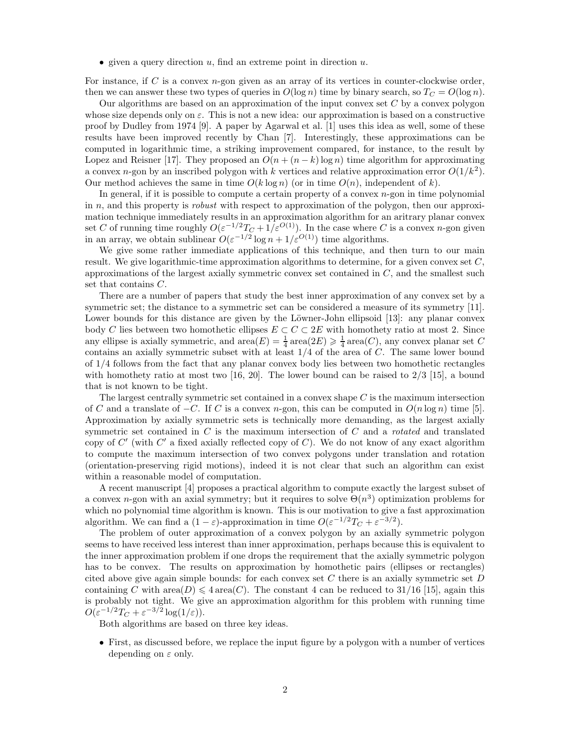• given a query direction  $u$ , find an extreme point in direction  $u$ .

For instance, if  $C$  is a convex  $n$ -gon given as an array of its vertices in counter-clockwise order, then we can answer these two types of queries in  $O(\log n)$  time by binary search, so  $T_C = O(\log n)$ .

Our algorithms are based on an approximation of the input convex set  $C$  by a convex polygon whose size depends only on  $\varepsilon$ . This is not a new idea: our approximation is based on a constructive proof by Dudley from 1974 [9]. A paper by Agarwal et al. [1] uses this idea as well, some of these results have been improved recently by Chan [7]. Interestingly, these approximations can be computed in logarithmic time, a striking improvement compared, for instance, to the result by Lopez and Reisner [17]. They proposed an  $O(n + (n - k) \log n)$  time algorithm for approximating a convex *n*-gon by an inscribed polygon with k vertices and relative approximation error  $O(1/k^2)$ . Our method achieves the same in time  $O(k \log n)$  (or in time  $O(n)$ , independent of k).

In general, if it is possible to compute a certain property of a convex  $n$ -gon in time polynomial in  $n$ , and this property is *robust* with respect to approximation of the polygon, then our approximation technique immediately results in an approximation algorithm for an aritrary planar convex set C of running time roughly  $O(\varepsilon^{-1/2}T_C + 1/\varepsilon^{O(1)})$ . In the case where C is a convex n-gon given in an array, we obtain sublinear  $O(\varepsilon^{-1/2} \log n + 1/\varepsilon^{O(1)})$  time algorithms.

We give some rather immediate applications of this technique, and then turn to our main result. We give logarithmic-time approximation algorithms to determine, for a given convex set  $C$ . approximations of the largest axially symmetric convex set contained in  $C$ , and the smallest such set that contains C.

There are a number of papers that study the best inner approximation of any convex set by a symmetric set; the distance to a symmetric set can be considered a measure of its symmetry [11]. Lower bounds for this distance are given by the Löwner-John ellipsoid  $[13]$ : any planar convex body C lies between two homothetic ellipses  $E \subset C \subset 2E$  with homothety ratio at most 2. Since any ellipse is axially symmetric, and  $area(E) = \frac{1}{4} area(2E) \geq \frac{1}{4} area(C)$ , any convex planar set C contains an axially symmetric subset with at least  $1/4$  of the area of  $C$ . The same lower bound of 1/4 follows from the fact that any planar convex body lies between two homothetic rectangles with homothety ratio at most two [16, 20]. The lower bound can be raised to  $2/3$  [15], a bound that is not known to be tight.

The largest centrally symmetric set contained in a convex shape  $C$  is the maximum intersection of C and a translate of  $-C$ . If C is a convex n-gon, this can be computed in  $O(n \log n)$  time [5]. Approximation by axially symmetric sets is technically more demanding, as the largest axially symmetric set contained in  $C$  is the maximum intersection of  $C$  and a *rotated* and translated copy of  $C'$  (with  $C'$  a fixed axially reflected copy of  $C$ ). We do not know of any exact algorithm to compute the maximum intersection of two convex polygons under translation and rotation (orientation-preserving rigid motions), indeed it is not clear that such an algorithm can exist within a reasonable model of computation.

A recent manuscript [4] proposes a practical algorithm to compute exactly the largest subset of a convex *n*-gon with an axial symmetry; but it requires to solve  $\Theta(n^3)$  optimization problems for which no polynomial time algorithm is known. This is our motivation to give a fast approximation algorithm. We can find a  $(1 - \varepsilon)$ -approximation in time  $O(\varepsilon^{-1/2}T_C + \varepsilon^{-3/2})$ .

The problem of outer approximation of a convex polygon by an axially symmetric polygon seems to have received less interest than inner approximation, perhaps because this is equivalent to the inner approximation problem if one drops the requirement that the axially symmetric polygon has to be convex. The results on approximation by homothetic pairs (ellipses or rectangles) cited above give again simple bounds: for each convex set  $C$  there is an axially symmetric set  $D$ containing C with area $(D) \leq 4 \text{ area}(C)$ . The constant 4 can be reduced to 31/16 [15], again this is probably not tight. We give an approximation algorithm for this problem with running time  $O(\varepsilon^{-1/2}T_C + \varepsilon^{-3/2}\log(1/\varepsilon)).$ 

Both algorithms are based on three key ideas.

• First, as discussed before, we replace the input figure by a polygon with a number of vertices depending on  $\varepsilon$  only.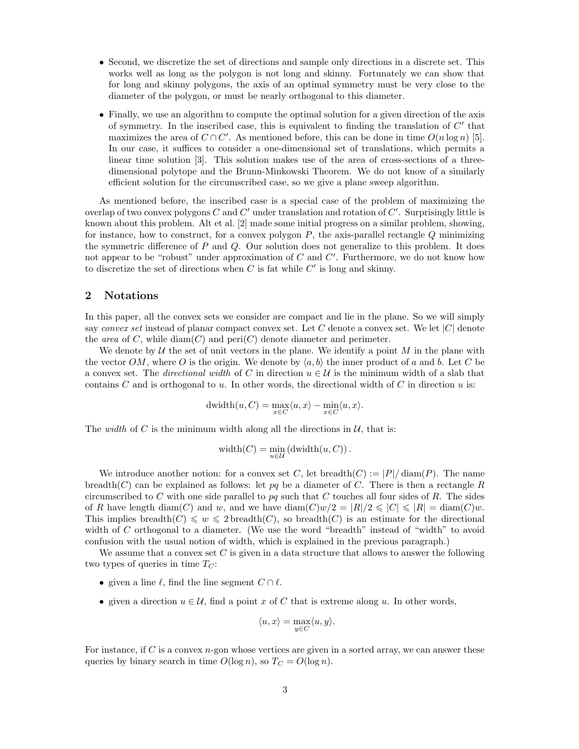- Second, we discretize the set of directions and sample only directions in a discrete set. This works well as long as the polygon is not long and skinny. Fortunately we can show that for long and skinny polygons, the axis of an optimal symmetry must be very close to the diameter of the polygon, or must be nearly orthogonal to this diameter.
- Finally, we use an algorithm to compute the optimal solution for a given direction of the axis of symmetry. In the inscribed case, this is equivalent to finding the translation of  $C'$  that maximizes the area of  $C \cap C'$ . As mentioned before, this can be done in time  $O(n \log n)$  [5]. In our case, it suffices to consider a one-dimensional set of translations, which permits a linear time solution [3]. This solution makes use of the area of cross-sections of a threedimensional polytope and the Brunn-Minkowski Theorem. We do not know of a similarly efficient solution for the circumscribed case, so we give a plane sweep algorithm.

As mentioned before, the inscribed case is a special case of the problem of maximizing the overlap of two convex polygons  $C$  and  $C'$  under translation and rotation of  $C'$ . Surprisingly little is known about this problem. Alt et al. [2] made some initial progress on a similar problem, showing, for instance, how to construct, for a convex polygon  $P$ , the axis-parallel rectangle  $Q$  minimizing the symmetric difference of  $P$  and  $Q$ . Our solution does not generalize to this problem. It does not appear to be "robust" under approximation of  $C$  and  $C'$ . Furthermore, we do not know how to discretize the set of directions when  $C$  is fat while  $C'$  is long and skinny.

## 2 Notations

In this paper, all the convex sets we consider are compact and lie in the plane. So we will simply say convex set instead of planar compact convex set. Let  $C$  denote a convex set. We let  $|C|$  denote the area of C, while  $\text{diam}(C)$  and  $\text{peri}(C)$  denote diameter and perimeter.

We denote by U the set of unit vectors in the plane. We identify a point M in the plane with the vector OM, where O is the origin. We denote by  $\langle a, b \rangle$  the inner product of a and b. Let C be a convex set. The *directional width* of C in direction  $u \in U$  is the minimum width of a slab that contains  $C$  and is orthogonal to  $u$ . In other words, the directional width of  $C$  in direction  $u$  is:

$$
dwidth(u, C) = \max_{x \in C} \langle u, x \rangle - \min_{x \in C} \langle u, x \rangle.
$$

The *width* of C is the minimum width along all the directions in  $\mathcal{U}$ , that is:

$$
\mathrm{width}(C) = \min_{u \in \mathcal{U}} \left( \mathrm{dwidth}(u, C) \right).
$$

We introduce another notion: for a convex set C, let breadth $(C) := |P| / \text{diam}(P)$ . The name breadth(C) can be explained as follows: let  $pq$  be a diameter of C. There is then a rectangle R circumscribed to C with one side parallel to  $pq$  such that C touches all four sides of R. The sides of R have length diam(C) and w, and we have diam(C)w/2 =  $|R|/2 \leq |C| \leq |R| = \text{diam}(C)w$ . This implies breadth(C)  $\leqslant w \leqslant 2$  breadth(C), so breadth(C) is an estimate for the directional width of  $C$  orthogonal to a diameter. (We use the word "breadth" instead of "width" to avoid confusion with the usual notion of width, which is explained in the previous paragraph.)

We assume that a convex set  $C$  is given in a data structure that allows to answer the following two types of queries in time  $T_C$ :

- given a line  $\ell$ , find the line segment  $C \cap \ell$ .
- given a direction  $u \in \mathcal{U}$ , find a point x of C that is extreme along u. In other words,

$$
\langle u, x \rangle = \max_{y \in C} \langle u, y \rangle.
$$

For instance, if  $C$  is a convex n-gon whose vertices are given in a sorted array, we can answer these queries by binary search in time  $O(\log n)$ , so  $T_C = O(\log n)$ .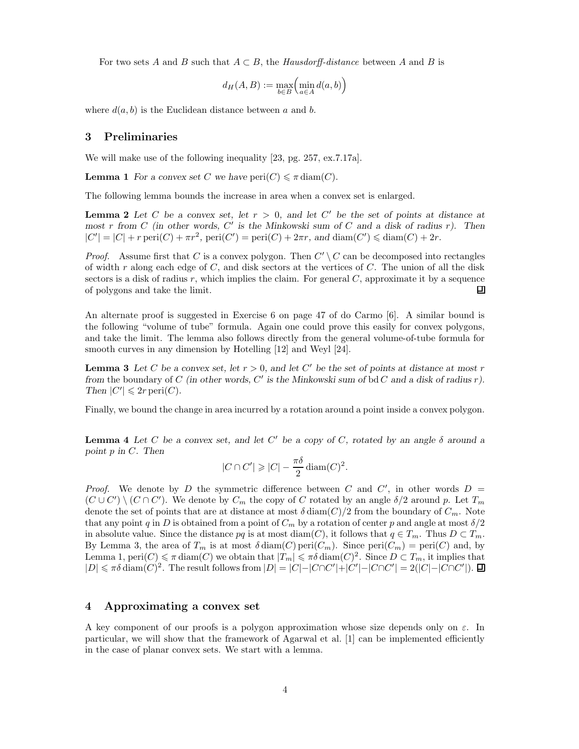For two sets A and B such that  $A \subset B$ , the Hausdorff-distance between A and B is

$$
d_H(A, B) := \max_{b \in B} \left( \min_{a \in A} d(a, b) \right)
$$

where  $d(a, b)$  is the Euclidean distance between a and b.

#### 3 Preliminaries

We will make use of the following inequality [23, pg. 257, ex.7.17a].

**Lemma 1** For a convex set C we have  $\text{peri}(C) \leq \pi \, \text{diam}(C)$ .

The following lemma bounds the increase in area when a convex set is enlarged.

**Lemma 2** Let C be a convex set, let  $r > 0$ , and let C' be the set of points at distance at most r from C (in other words, C' is the Minkowski sum of C and a disk of radius r). Then  $|C'| = |C| + r \operatorname{peri}(C) + \pi r^2$ ,  $\operatorname{peri}(C') = \operatorname{peri}(C) + 2\pi r$ , and  $\operatorname{diam}(C') \leq \operatorname{diam}(C) + 2r$ .

*Proof.* Assume first that C is a convex polygon. Then  $C' \setminus C$  can be decomposed into rectangles of width r along each edge of  $C$ , and disk sectors at the vertices of  $C$ . The union of all the disk sectors is a disk of radius  $r$ , which implies the claim. For general  $C$ , approximate it by a sequence of polygons and take the limit. 口

An alternate proof is suggested in Exercise 6 on page 47 of do Carmo [6]. A similar bound is the following "volume of tube" formula. Again one could prove this easily for convex polygons, and take the limit. The lemma also follows directly from the general volume-of-tube formula for smooth curves in any dimension by Hotelling [12] and Weyl [24].

**Lemma 3** Let C be a convex set, let  $r > 0$ , and let C' be the set of points at distance at most r from the boundary of C (in other words, C' is the Minkowski sum of bd C and a disk of radius  $r$ ). Then  $|C'| \leqslant 2r \operatorname{peri}(C)$ .

Finally, we bound the change in area incurred by a rotation around a point inside a convex polygon.

**Lemma 4** Let C be a convex set, and let C' be a copy of C, rotated by an angle  $\delta$  around a point p in C. Then

$$
|C \cap C'| \geqslant |C| - \frac{\pi \delta}{2} \operatorname{diam}(C)^2.
$$

*Proof.* We denote by D the symmetric difference between C and C', in other words  $D =$  $(C \cup C') \setminus (C \cap C')$ . We denote by  $C_m$  the copy of C rotated by an angle  $\delta/2$  around p. Let  $T_m$ denote the set of points that are at distance at most  $\delta \text{diam}(C)/2$  from the boundary of  $C_m$ . Note that any point q in D is obtained from a point of  $C_m$  by a rotation of center p and angle at most  $\delta/2$ in absolute value. Since the distance pq is at most diam(C), it follows that  $q \in T_m$ . Thus  $D \subset T_m$ . By Lemma 3, the area of  $T_m$  is at most  $\delta \text{diam}(C)$  peri $(C_m)$ . Since peri $(C_m)$  = peri $(C)$  and, by Lemma 1,  $\text{peri}(C) \leq \pi \text{ diam}(C)$  we obtain that  $|T_m| \leq \pi \delta \text{ diam}(C)^2$ . Since  $D \subset T_m$ , it implies that  $|D| \leq \pi \delta \operatorname{diam}(C)^2$ . The result follows from  $|D| = |C| - |C \cap C'| + |C'| - |C \cap C'| = 2(|C| - |C \cap C'|)$ .

#### 4 Approximating a convex set

A key component of our proofs is a polygon approximation whose size depends only on  $\varepsilon$ . In particular, we will show that the framework of Agarwal et al. [1] can be implemented efficiently in the case of planar convex sets. We start with a lemma.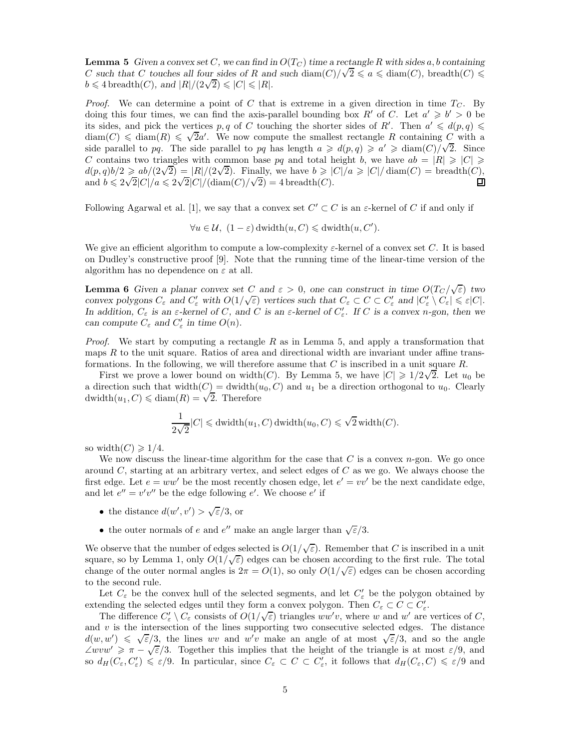**Lemma 5** Given a convex set C, we can find in  $O(T_C)$  time a rectangle R with sides a, b containing C such that C touches all four sides of R and such diam(C)/ $\sqrt{2} \le a \le \text{diam}(C)$ , breadth(C)  $\le$  $b \leq 4$  breadth(C), and  $|R|/(2\sqrt{2}) \leq |C| \leq |R|$ .

*Proof.* We can determine a point of C that is extreme in a given direction in time  $T<sub>C</sub>$ . By doing this four times, we can find the axis-parallel bounding box R' of C. Let  $a' \geq b' > 0$  be its sides, and pick the vertices p, q of C touching the shorter sides of R'. Then  $a' \leq d(p,q) \leq$  $\dim(C) \leq \dim(R) \leq \sqrt{2}a'$ . We now compute the smallest rectangle R containing C with a side parallel to pq. The side parallel to pq has length  $a \geq d(p,q) \geq a' \geq \text{diam}(C)/\sqrt{2}$ . Since C contains two triangles with common base pq and total height b, we have  $ab = |R| \geqslant |C| \geqslant$  $d(p,q)b/2 \ge ab/(2\sqrt{2}) = |R|/(2\sqrt{2}).$  Finally, we have  $b \ge |C|/a \ge |C|/\text{diam}(C) = \text{breadth}(C)$ , and  $b \leq 2\sqrt{2}|C|/a \leq 2\sqrt{2}|C|/(\text{diam}(C)/\sqrt{2})=4$  breadth(C).

Following Agarwal et al. [1], we say that a convex set  $C' \subset C$  is an  $\varepsilon$ -kernel of C if and only if

$$
\forall u \in \mathcal{U}, (1 - \varepsilon) \text{dwidth}(u, C) \leq d \text{width}(u, C').
$$

We give an efficient algorithm to compute a low-complexity  $\varepsilon$ -kernel of a convex set C. It is based on Dudley's constructive proof [9]. Note that the running time of the linear-time version of the algorithm has no dependence on  $\varepsilon$  at all.

**Lemma 6** Given a planar convex set C and  $\varepsilon > 0$ , one can construct in time  $O(T_C/\sqrt{\varepsilon})$  two convex polygons  $C_{\varepsilon}$  and  $C'_{\varepsilon}$  with  $O(1/\sqrt{\varepsilon})$  vertices such that  $C_{\varepsilon} \subset C \subset C'_{\varepsilon}$  and  $|C'_{\varepsilon} \setminus C_{\varepsilon}| \leqslant \varepsilon |C|$ . In addition,  $C_{\varepsilon}$  is an  $\varepsilon$ -kernel of C, and C is an  $\varepsilon$ -kernel of  $C'_{\varepsilon}$ . If C is a convex n-gon, then we can compute  $C_{\varepsilon}$  and  $C'_{\varepsilon}$  in time  $O(n)$ .

*Proof.* We start by computing a rectangle R as in Lemma 5, and apply a transformation that maps R to the unit square. Ratios of area and directional width are invariant under affine transformations. In the following, we will therefore assume that  $C$  is inscribed in a unit square  $R$ .

First we prove a lower bound on width(C). By Lemma 5, we have  $|C| \geq 1/2\sqrt{2}$ . Let  $u_0$  be a direction such that width $(C) = \text{dwidth}(u_0, C)$  and  $u_1$  be a direction orthogonal to  $u_0$ . Clearly dwidth $(u_1, C) \leq \text{diam}(R) = \sqrt{2}$ . Therefore

$$
\frac{1}{2\sqrt{2}}|C| \leq \text{dwidth}(u_1, C) \text{dwidth}(u_0, C) \leq \sqrt{2} \text{width}(C).
$$

so width $(C) \geq 1/4$ .

We now discuss the linear-time algorithm for the case that  $C$  is a convex  $n$ -gon. We go once around  $C$ , starting at an arbitrary vertex, and select edges of  $C$  as we go. We always choose the first edge. Let  $e = ww'$  be the most recently chosen edge, let  $e' = vv'$  be the next candidate edge, and let  $e'' = v'v''$  be the edge following  $e'$ . We choose  $e'$  if

- the distance  $d(w', v') > \sqrt{\varepsilon/3}$ , or
- the outer normals of  $e$  and  $e''$  make an angle larger than  $\sqrt{\varepsilon}/3$ .

We observe that the number of edges selected is  $O(1/\sqrt{\varepsilon})$ . Remember that C is inscribed in a unit square, so by Lemma 1, only  $O(1/\sqrt{\varepsilon})$  edges can be chosen according to the first rule. The total change of the outer normal angles is  $2\pi = O(1)$ , so only  $O(1/\sqrt{\varepsilon})$  edges can be chosen according to the second rule.

Let  $C_{\varepsilon}$  be the convex hull of the selected segments, and let  $C'_{\varepsilon}$  be the polygon obtained by extending the selected edges until they form a convex polygon. Then  $C_{\varepsilon} \subset C \subset C_{\varepsilon}'$ .

The difference  $C'_{\varepsilon} \setminus C_{\varepsilon}$  consists of  $O(1/\sqrt{\varepsilon})$  triangles  $ww'v$ , where w and w' are vertices of C, and  $v$  is the intersection of the lines supporting two consecutive selected edges. The distance  $d(w, w') \leq \sqrt{\varepsilon}/3$ , the lines wv and w'v make an angle of at most  $\sqrt{\varepsilon}/3$ , and so the angle  $\angle wvw' \geq \pi - \sqrt{\varepsilon}/3$ . Together this implies that the height of the triangle is at most  $\varepsilon/9$ , and so  $d_H(C_\varepsilon, C'_\varepsilon) \leq \varepsilon/9$ . In particular, since  $C_\varepsilon \subset C \subset C'_\varepsilon$ , it follows that  $d_H(C_\varepsilon, C) \leq \varepsilon/9$  and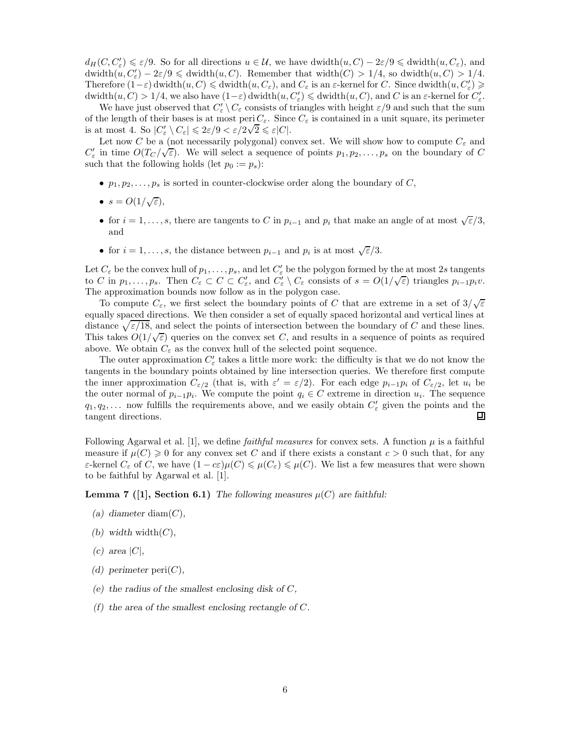$d_H(C, C'_{\varepsilon}) \leqslant \varepsilon/9$ . So for all directions  $u \in \mathcal{U}$ , we have dwidth $(u, C) - 2\varepsilon/9 \leqslant$  dwidth $(u, C_{\varepsilon})$ , and  $\text{dwidth}(u, C'_{\varepsilon}) - 2\varepsilon/9 \leqslant \text{dwidth}(u, C)$ . Remember that width $(C) > 1/4$ , so  $\text{dwidth}(u, C) > 1/4$ . Therefore  $(1-\varepsilon)$  dwidth $(u, C) \leq d$ width $(u, C_{\varepsilon})$ , and  $C_{\varepsilon}$  is an  $\varepsilon$ -kernel for C. Since dwidth $(u, C'_{\varepsilon}) \geq$  $\mathrm{dwidth}(u, C) > 1/4$ , we also have  $(1 - \varepsilon) \mathrm{dwidth}(u, C'_{\varepsilon}) \leq \mathrm{dwidth}(u, C)$ , and C is an  $\varepsilon$ -kernel for  $C'_{\varepsilon}$ .

We have just observed that  $C'_{\varepsilon} \setminus C_{\varepsilon}$  consists of triangles with height  $\varepsilon/9$  and such that the sum of the length of their bases is at most peri $C_{\varepsilon}$ . Since  $C_{\varepsilon}$  is contained in a unit square, its perimeter is at most 4. So  $|C'_{\varepsilon} \setminus C_{\varepsilon}| \leq 2\varepsilon/9 < \varepsilon/2\sqrt{2} \leq \varepsilon|C|$ .

Let now C be a (not necessarily polygonal) convex set. We will show how to compute  $C_{\varepsilon}$  and  $C'_{\varepsilon}$  in time  $O(T_C/\sqrt{\varepsilon})$ . We will select a sequence of points  $p_1, p_2, \ldots, p_s$  on the boundary of C such that the following holds (let  $p_0 := p_s$ ):

- $p_1, p_2, \ldots, p_s$  is sorted in counter-clockwise order along the boundary of C,
- $s = O(1/\sqrt{\varepsilon}),$
- for  $i = 1, \ldots, s$ , there are tangents to C in  $p_{i-1}$  and  $p_i$  that make an angle of at most  $\sqrt{\varepsilon}/3$ , and
- for  $i = 1, \ldots, s$ , the distance between  $p_{i-1}$  and  $p_i$  is at most  $\sqrt{\varepsilon}/3$ .

Let  $C_{\varepsilon}$  be the convex hull of  $p_1, \ldots, p_s$ , and let  $C'_{\varepsilon}$  be the polygon formed by the at most 2s tangents to C in  $p_1, \ldots, p_s$ . Then  $C_{\varepsilon} \subset C \subset C_{\varepsilon}$ , and  $C_{\varepsilon}' \setminus C_{\varepsilon}$  consists of  $s = O(1/\sqrt{\varepsilon})$  triangles  $p_{i-1}p_iv$ . The approximation bounds now follow as in the polygon case.

To compute  $C_{\varepsilon}$ , we first select the boundary points of C that are extreme in a set of  $3/\sqrt{\varepsilon}$ equally spaced directions. We then consider a set of equally spaced horizontal and vertical lines at distance  $\sqrt{\varepsilon/18}$ , and select the points of intersection between the boundary of C and these lines. This takes  $O(1/\sqrt{\varepsilon})$  queries on the convex set C, and results in a sequence of points as required above. We obtain  $C_{\varepsilon}$  as the convex hull of the selected point sequence.

The outer approximation  $C'_{\varepsilon}$  takes a little more work: the difficulty is that we do not know the tangents in the boundary points obtained by line intersection queries. We therefore first compute the inner approximation  $C_{\varepsilon/2}$  (that is, with  $\varepsilon' = \varepsilon/2$ ). For each edge  $p_{i-1}p_i$  of  $C_{\varepsilon/2}$ , let  $u_i$  be the outer normal of  $p_{i-1}p_i$ . We compute the point  $q_i \in C$  extreme in direction  $u_i$ . The sequence  $q_1, q_2, \ldots$  now fulfills the requirements above, and we easily obtain  $C'_{\varepsilon}$  given the points and the tangent directions. ▣

Following Agarwal et al. [1], we define *faithful measures* for convex sets. A function  $\mu$  is a faithful measure if  $\mu(C) \geq 0$  for any convex set C and if there exists a constant  $c > 0$  such that, for any  $\varepsilon$ -kernel  $C_{\varepsilon}$  of C, we have  $(1 - c\varepsilon)\mu(C) \leq \mu(C_{\varepsilon}) \leq \mu(C)$ . We list a few measures that were shown to be faithful by Agarwal et al. [1].

**Lemma 7** ([1], Section 6.1) The following measures  $\mu(C)$  are faithful:

- (a) diameter diam $(C)$ ,
- (b) width width $(C)$ ,
- $(c)$  area  $|C|$ ,
- (d) perimeter  $\text{peri}(C)$ ,
- (e) the radius of the smallest enclosing disk of  $C$ ,
- (f) the area of the smallest enclosing rectangle of  $C$ .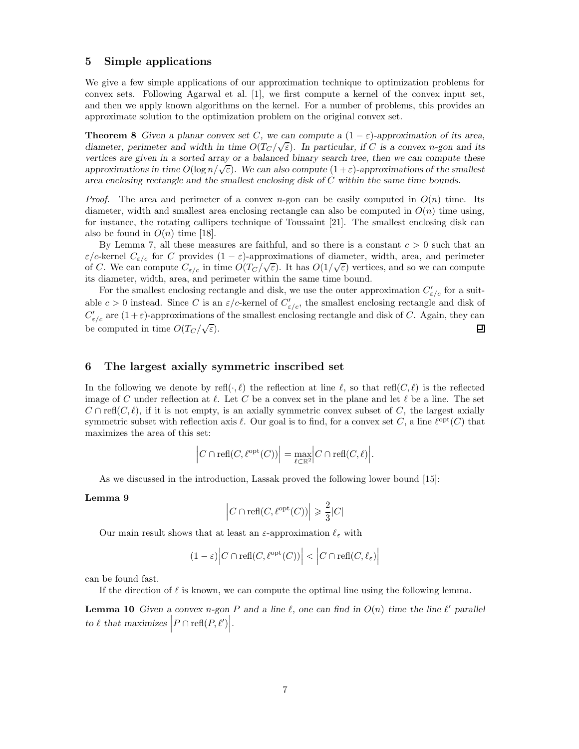## 5 Simple applications

We give a few simple applications of our approximation technique to optimization problems for convex sets. Following Agarwal et al. [1], we first compute a kernel of the convex input set, and then we apply known algorithms on the kernel. For a number of problems, this provides an approximate solution to the optimization problem on the original convex set.

**Theorem 8** Given a planar convex set C, we can compute a  $(1 - \varepsilon)$ -approximation of its area, diameter, perimeter and width in time  $O(T_C/\sqrt{\varepsilon})$ . In particular, if C is a convex n-gon and its vertices are given in a sorted array or a balanced binary search tree, then we can compute these approximations in time  $O(\log n/\sqrt{\varepsilon})$ . We can also compute  $(1+\varepsilon)$ -approximations of the smallest area enclosing rectangle and the smallest enclosing disk of C within the same time bounds.

*Proof.* The area and perimeter of a convex n-gon can be easily computed in  $O(n)$  time. Its diameter, width and smallest area enclosing rectangle can also be computed in  $O(n)$  time using, for instance, the rotating callipers technique of Toussaint [21]. The smallest enclosing disk can also be found in  $O(n)$  time [18].

By Lemma 7, all these measures are faithful, and so there is a constant  $c > 0$  such that an  $\varepsilon/c$ -kernel  $C_{\varepsilon/c}$  for C provides  $(1 - \varepsilon)$ -approximations of diameter, width, area, and perimeter of C. We can compute  $C_{\varepsilon/c}$  in time  $O(T_C/\sqrt{\varepsilon})$ . It has  $O(1/\sqrt{\varepsilon})$  vertices, and so we can compute its diameter, width, area, and perimeter within the same time bound.

For the smallest enclosing rectangle and disk, we use the outer approximation  $C'_{\varepsilon/c}$  for a suitable  $c > 0$  instead. Since C is an  $\varepsilon/c$ -kernel of  $C'_{\varepsilon/c}$ , the smallest enclosing rectangle and disk of  $C'_{\varepsilon/c}$  are  $(1+\varepsilon)$ -approximations of the smallest enclosing rectangle and disk of C. Again, they can be computed in time  $O(T_C/\sqrt{\varepsilon})$ . ▣

## 6 The largest axially symmetric inscribed set

In the following we denote by refl $(\cdot, \ell)$  the reflection at line  $\ell$ , so that refl $(C, \ell)$  is the reflected image of C under reflection at  $\ell$ . Let C be a convex set in the plane and let  $\ell$  be a line. The set  $C \cap \text{refl}(C, \ell)$ , if it is not empty, is an axially symmetric convex subset of C, the largest axially symmetric subset with reflection axis  $\ell$ . Our goal is to find, for a convex set C, a line  $\ell^{opt}(C)$  that maximizes the area of this set:

$$
\left|C \cap \text{refl}(C, \ell^{\text{opt}}(C))\right| = \max_{\ell \subset \mathbb{R}^2} \left|C \cap \text{refl}(C, \ell)\right|.
$$

As we discussed in the introduction, Lassak proved the following lower bound [15]:

#### Lemma 9

$$
\Big|C\cap\mathrm{refl}(C,\ell^{\mathrm{opt}}(C))\Big|\geqslant\frac{2}{3}|C|
$$

Our main result shows that at least an  $\varepsilon$ -approximation  $\ell_{\varepsilon}$  with

$$
(1 - \varepsilon) |C \cap \text{refl}(C, \ell^{\text{opt}}(C))| < |C \cap \text{refl}(C, \ell_{\varepsilon})|
$$

can be found fast.

If the direction of  $\ell$  is known, we can compute the optimal line using the following lemma.

**Lemma 10** Given a convex n-gon P and a line  $\ell$ , one can find in  $O(n)$  time the line  $\ell'$  parallel to  $\ell$  that maximizes  $\Big|P \cap \text{refl}(P, \ell')\Big|$ .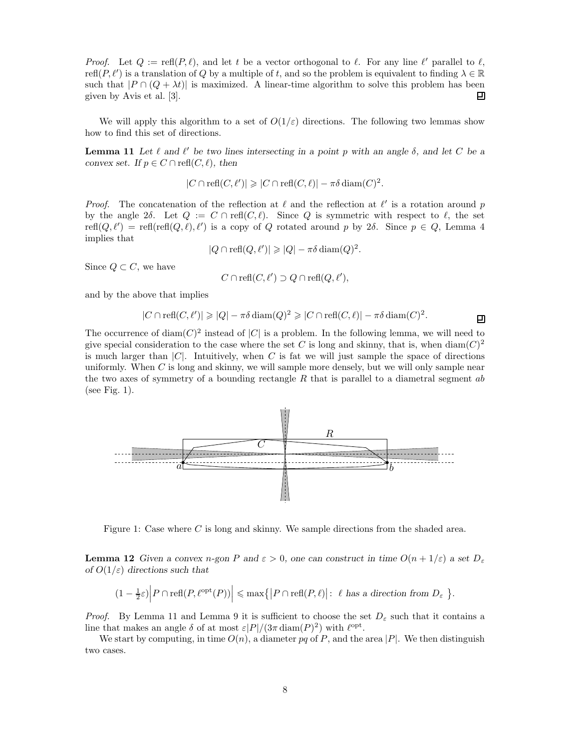*Proof.* Let  $Q := \text{refl}(P, \ell)$ , and let t be a vector orthogonal to  $\ell$ . For any line  $\ell'$  parallel to  $\ell$ ,  $\text{refl}(P, \ell')$  is a translation of Q by a multiple of t, and so the problem is equivalent to finding  $\lambda \in \mathbb{R}$ such that  $|P \cap (Q + \lambda t)|$  is maximized. A linear-time algorithm to solve this problem has been given by Avis et al. [3]. given by Avis et al. [3].

We will apply this algorithm to a set of  $O(1/\varepsilon)$  directions. The following two lemmas show how to find this set of directions.

**Lemma 11** Let  $\ell$  and  $\ell'$  be two lines intersecting in a point p with an angle  $\delta$ , and let C be a convex set. If  $p \in C \cap \text{refl}(C, \ell)$ , then

$$
|C \cap \mathrm{refl}(C, \ell')| \geqslant |C \cap \mathrm{refl}(C, \ell)| - \pi \delta \dim(C)^2.
$$

*Proof.* The concatenation of the reflection at  $\ell$  and the reflection at  $\ell'$  is a rotation around p by the angle 2 $\delta$ . Let  $Q := C \cap \text{ref}(C, \ell)$ . Since Q is symmetric with respect to  $\ell$ , the set  $\text{refl}(Q, \ell') = \text{refl}(\text{refl}(Q, \ell), \ell')$  is a copy of Q rotated around p by 2δ. Since  $p \in Q$ , Lemma 4 implies that

$$
|Q \cap \text{refl}(Q, \ell')| \geqslant |Q| - \pi \delta \operatorname{diam}(Q)^2.
$$

Since  $Q \subset C$ , we have

$$
C \cap \text{refl}(C, \ell') \supset Q \cap \text{refl}(Q, \ell'),
$$

and by the above that implies

$$
|C \cap \text{refl}(C, \ell')| \geq |Q| - \pi \delta \operatorname{diam}(Q)^2 \geq |C \cap \text{refl}(C, \ell)| - \pi \delta \operatorname{diam}(C)^2.
$$

The occurrence of diam $(C)^2$  instead of  $|C|$  is a problem. In the following lemma, we will need to give special consideration to the case where the set C is long and skinny, that is, when  $\text{diam}(C)^2$ is much larger than  $|C|$ . Intuitively, when C is fat we will just sample the space of directions uniformly. When  $C$  is long and skinny, we will sample more densely, but we will only sample near the two axes of symmetry of a bounding rectangle  $R$  that is parallel to a diametral segment ab (see Fig. 1).



Figure 1: Case where C is long and skinny. We sample directions from the shaded area.

**Lemma 12** Given a convex n-gon P and  $\varepsilon > 0$ , one can construct in time  $O(n + 1/\varepsilon)$  a set  $D_{\varepsilon}$ of  $O(1/\varepsilon)$  directions such that

$$
(1 - \frac{1}{2}\varepsilon) \Big| P \cap \text{refl}(P, \ell^{\text{opt}}(P)) \Big| \le \max \{ \big| P \cap \text{refl}(P, \ell) \big| : \ell \text{ has a direction from } D_{\varepsilon} \}.
$$

*Proof.* By Lemma 11 and Lemma 9 it is sufficient to choose the set  $D_{\varepsilon}$  such that it contains a line that makes an angle  $\delta$  of at most  $\varepsilon |P|/(3\pi \operatorname{diam}(P)^2)$  with  $\ell^{\text{opt}}$ .

We start by computing, in time  $O(n)$ , a diameter pq of P, and the area |P|. We then distinguish two cases.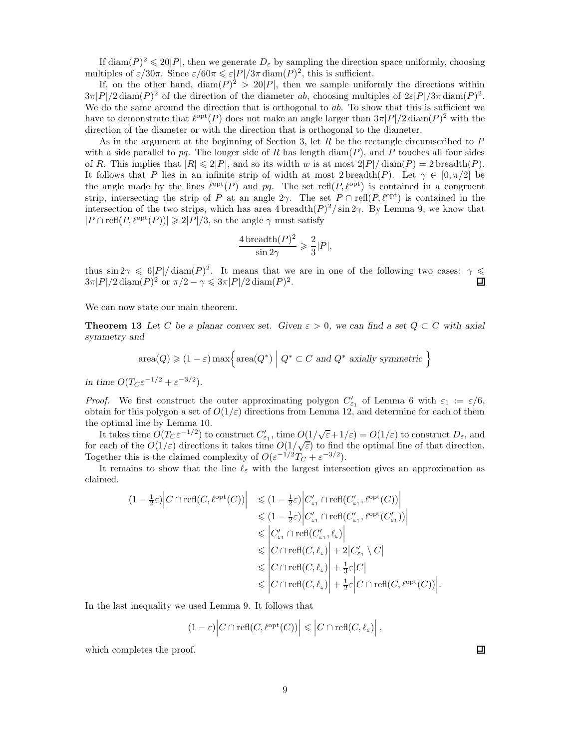If diam( $P$ )<sup>2</sup>  $\leq$  20|P|, then we generate  $D_{\varepsilon}$  by sampling the direction space uniformly, choosing multiples of  $\varepsilon/30\pi$ . Since  $\varepsilon/60\pi \leq \varepsilon|P|/3\pi \operatorname{diam}(P)^2$ , this is sufficient.

If, on the other hand,  $\text{diam}(P)^2 > 20|P|$ , then we sample uniformly the directions within  $3\pi|P|/2 \operatorname{diam}(P)^2$  of the direction of the diameter ab, choosing multiples of  $2\varepsilon|P|/3\pi \operatorname{diam}(P)^2$ . We do the same around the direction that is orthogonal to  $ab$ . To show that this is sufficient we have to demonstrate that  $\ell^{\text{opt}}(P)$  does not make an angle larger than  $3\pi |P|/2 \text{ diam}(P)^2$  with the direction of the diameter or with the direction that is orthogonal to the diameter.

As in the argument at the beginning of Section 3, let R be the rectangle circumscribed to P with a side parallel to  $pq$ . The longer side of R has length  $\text{diam}(P)$ , and P touches all four sides of R. This implies that  $|R| \leq 2|P|$ , and so its width w is at most  $2|P|/\text{diam}(P) = 2$  breadth $(P)$ . It follows that P lies in an infinite strip of width at most 2 breadth(P). Let  $\gamma \in [0, \pi/2]$  be the angle made by the lines  $\ell^{opt}(P)$  and pq. The set refl $(P, \ell^{opt})$  is contained in a congruent strip, intersecting the strip of P at an angle 2γ. The set  $P \cap \text{refl}(P, \ell^{\text{opt}})$  is contained in the intersection of the two strips, which has area  $4 \text{ breadth}(P)^2 / \text{sin} 2\gamma$ . By Lemma 9, we know that  $|P \cap \text{refl}(P, \ell^{\text{opt}}(P))| \geq 2|P|/3$ , so the angle  $\gamma$  must satisfy

$$
\frac{4\operatorname{breadth}(P)^2}{\sin 2\gamma} \geqslant \frac{2}{3}|P|,
$$

thus  $\sin 2\gamma \leq 6|P|/\text{diam}(P)^2$ . It means that we are in one of the following two cases:  $\gamma \leq$  $3\pi|P|/2 \operatorname{diam}(P)^2$  or  $\pi/2 - \gamma \leq 3\pi|P|/2 \operatorname{diam}(P)^2$ . 囙

We can now state our main theorem.

**Theorem 13** Let C be a planar convex set. Given  $\varepsilon > 0$ , we can find a set  $Q \subset C$  with axial symmetry and

$$
area(Q) \geq (1 - \varepsilon) max \Big\{ area(Q^*) \mid Q^* \subset C \text{ and } Q^* \text{ axially symmetric } \Big\}
$$

in time  $O(T_C \varepsilon^{-1/2} + \varepsilon^{-3/2}).$ 

*Proof.* We first construct the outer approximating polygon  $C'_{\varepsilon_1}$  of Lemma 6 with  $\varepsilon_1 := \varepsilon/6$ , obtain for this polygon a set of  $O(1/\varepsilon)$  directions from Lemma 12, and determine for each of them the optimal line by Lemma 10.

It takes time  $O(T_c \varepsilon^{-1/2})$  to construct  $C'_{\varepsilon_1}$ , time  $O(1/\sqrt{\varepsilon}+1/\varepsilon) = O(1/\varepsilon)$  to construct  $D_{\varepsilon}$ , and for each of the  $O(1/\varepsilon)$  directions it takes time  $O(1/\sqrt{\varepsilon})$  to find the optimal line of that direction. Together this is the claimed complexity of  $O(\varepsilon^{-1/2}T_C + \varepsilon^{-3/2})$ .

It remains to show that the line  $\ell_{\varepsilon}$  with the largest intersection gives an approximation as claimed.

$$
(1 - \frac{1}{2}\varepsilon) \Big| C \cap \text{refl}(C, \ell^{\text{opt}}(C)) \Big| \leq (1 - \frac{1}{2}\varepsilon) \Big| C'_{\varepsilon_1} \cap \text{refl}(C'_{\varepsilon_1}, \ell^{\text{opt}}(C)) \Big|
$$
  
\n
$$
\leq (1 - \frac{1}{2}\varepsilon) \Big| C'_{\varepsilon_1} \cap \text{refl}(C'_{\varepsilon_1}, \ell^{\text{opt}}(C'_{\varepsilon_1})) \Big|
$$
  
\n
$$
\leq C'_{\varepsilon_1} \cap \text{refl}(C'_{\varepsilon_1}, \ell_{\varepsilon}) \Big|
$$
  
\n
$$
\leq C'_{\varepsilon_1} \cap \text{refl}(C, \ell_{\varepsilon}) \Big| + 2 \Big| C'_{\varepsilon_1} \setminus C \Big|
$$
  
\n
$$
\leq C \cap \text{refl}(C, \ell_{\varepsilon}) \Big| + \frac{1}{3}\varepsilon \Big| C \Big|
$$
  
\n
$$
\leq C \cap \text{refl}(C, \ell_{\varepsilon}) \Big| + \frac{1}{2}\varepsilon \Big| C \cap \text{refl}(C, \ell^{\text{opt}}(C)) \Big|.
$$

In the last inequality we used Lemma 9. It follows that

$$
(1-\varepsilon)\Big|C\cap\mathrm{refl}(C,\ell^{\mathrm{opt}}(C))\Big|\leqslant\Big|C\cap\mathrm{refl}(C,\ell_{\varepsilon})\Big|\ ,
$$

which completes the proof.

囙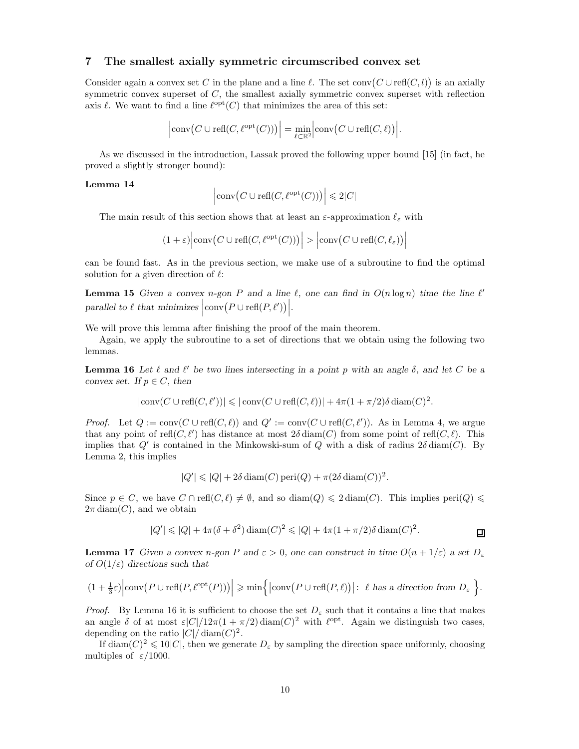## 7 The smallest axially symmetric circumscribed convex set

Consider again a convex set C in the plane and a line  $\ell$ . The set conv $(C \cup \text{refl}(C, l))$  is an axially symmetric convex superset of  $C$ , the smallest axially symmetric convex superset with reflection axis  $\ell$ . We want to find a line  $\ell^{\text{opt}}(C)$  that minimizes the area of this set:

$$
\left|\text{conv}(C \cup \text{refl}(C, \ell^{\text{opt}}(C)))\right| = \min_{\ell \subset \mathbb{R}^2} \left|\text{conv}(C \cup \text{refl}(C, \ell))\right|.
$$

As we discussed in the introduction, Lassak proved the following upper bound [15] (in fact, he proved a slightly stronger bound):

#### Lemma 14

$$
\left|\text{conv}\big(C\cup\text{refl}(C,\ell^{\text{opt}}(C))\big)\right|\leqslant 2|C|
$$

The main result of this section shows that at least an  $\varepsilon$ -approximation  $\ell_{\varepsilon}$  with

$$
(1+\varepsilon)\Big|\text{conv}\big(C\cup\text{refl}(C,\ell^{\text{opt}}(C))\big)\Big| > \Big|\text{conv}\big(C\cup\text{refl}(C,\ell_{\varepsilon})\big)\Big|
$$

can be found fast. As in the previous section, we make use of a subroutine to find the optimal solution for a given direction of  $\ell$ :

**Lemma 15** Given a convex n-gon P and a line  $\ell$ , one can find in  $O(n \log n)$  time the line  $\ell'$ parallel to  $\ell$  that minimizes  $|\text{conv}(P \cup \text{refl}(P, \ell'))|$ .

We will prove this lemma after finishing the proof of the main theorem.

Again, we apply the subroutine to a set of directions that we obtain using the following two lemmas.

**Lemma 16** Let  $\ell$  and  $\ell'$  be two lines intersecting in a point p with an angle  $\delta$ , and let C be a convex set. If  $p \in C$ , then

$$
|\text{conv}(C \cup \text{refl}(C, \ell'))| \leq |\text{conv}(C \cup \text{refl}(C, \ell))| + 4\pi(1 + \pi/2)\delta \text{diam}(C)^2.
$$

*Proof.* Let  $Q := \text{conv}(C \cup \text{refl}(C, \ell))$  and  $Q' := \text{conv}(C \cup \text{refl}(C, \ell'))$ . As in Lemma 4, we argue that any point of refl $(C, \ell')$  has distance at most  $2\delta \text{diam}(C)$  from some point of refl $(C, \ell)$ . This implies that  $Q'$  is contained in the Minkowski-sum of Q with a disk of radius  $2\delta \text{diam}(C)$ . By Lemma 2, this implies

$$
|Q'| \leqslant |Q| + 2\delta \operatorname{diam}(C) \operatorname{peri}(Q) + \pi (2\delta \operatorname{diam}(C))^2.
$$

Since  $p \in C$ , we have  $C \cap \text{refl}(C, \ell) \neq \emptyset$ , and so diam( $Q$ )  $\leq 2 \text{diam}(C)$ . This implies peri $(Q) \leq \ell$  $2\pi \text{diam}(C)$ , and we obtain

$$
|Q'| \leq |Q| + 4\pi(\delta + \delta^2) \operatorname{diam}(C)^2 \leq |Q| + 4\pi(1 + \pi/2)\delta \operatorname{diam}(C)^2.
$$

**Lemma 17** Given a convex n-gon P and  $\varepsilon > 0$ , one can construct in time  $O(n + 1/\varepsilon)$  a set  $D_{\varepsilon}$ of  $O(1/\varepsilon)$  directions such that

$$
(1+\tfrac{1}{3}\varepsilon)\Big|\text{conv}\big(P\cup\text{refl}(P,\ell^{\text{opt}}(P))\big)\Big|\geqslant\min\Big\{\big|\text{conv}\big(P\cup\text{refl}(P,\ell)\big)\big|:\ \ell\text{ has a direction from }D_{\varepsilon}\Big\}.
$$

*Proof.* By Lemma 16 it is sufficient to choose the set  $D_{\varepsilon}$  such that it contains a line that makes an angle  $\delta$  of at most  $\varepsilon |C|/12\pi (1+\pi/2) \operatorname{diam}(C)^2$  with  $\ell^{\text{opt}}$ . Again we distinguish two cases, depending on the ratio  $|C|/\operatorname{diam}(C)^2$ .

If  $\text{diam}(C)^2 \leq 10|C|$ , then we generate  $D_{\varepsilon}$  by sampling the direction space uniformly, choosing multiples of  $\varepsilon/1000$ .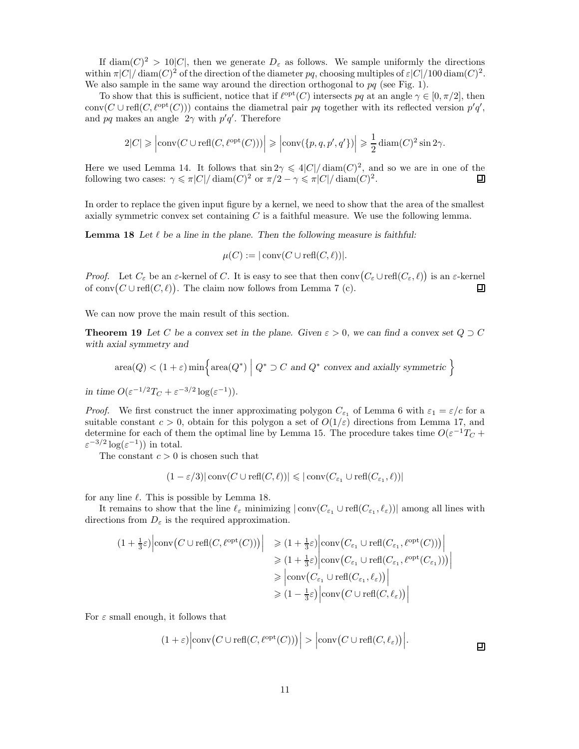If diam( $C$ )<sup>2</sup> > 10|C|, then we generate  $D_{\varepsilon}$  as follows. We sample uniformly the directions within  $\pi |C| / \text{diam}(C)^2$  of the direction of the diameter pq, choosing multiples of  $\varepsilon |C| / 100 \text{ diam}(C)^2$ . We also sample in the same way around the direction orthogonal to  $pq$  (see Fig. 1).

To show that this is sufficient, notice that if  $\ell^{\text{opt}}(C)$  intersects pq at an angle  $\gamma \in [0, \pi/2]$ , then conv $(C \cup \text{refl}(C, \ell^{\text{opt}}(C)))$  contains the diametral pair pq together with its reflected version  $p'q'$ , and pq makes an angle  $2\gamma$  with  $p'q'$ . Therefore

$$
2|C| \geqslant \left|\text{conv}(C \cup \text{refl}(C,\ell^{\text{opt}}(C)))\right| \geqslant \left|\text{conv}(\{p,q,p',q'\})\right| \geqslant \frac{1}{2}\operatorname{diam}(C)^2\sin 2\gamma.
$$

Here we used Lemma 14. It follows that  $\sin 2\gamma \leq 4|C|/\text{diam}(C)^2$ , and so we are in one of the following two cases:  $\gamma \leq \pi |C| / \operatorname{diam}(C)^2$  or  $\pi/2 - \gamma \leq \pi |C| / \operatorname{diam}(C)^2$ . 口

In order to replace the given input figure by a kernel, we need to show that the area of the smallest axially symmetric convex set containing  $C$  is a faithful measure. We use the following lemma.

**Lemma 18** Let  $\ell$  be a line in the plane. Then the following measure is faithful:

$$
\mu(C) := |\operatorname{conv}(C \cup \operatorname{refl}(C, \ell))|.
$$

*Proof.* Let  $C_{\varepsilon}$  be an  $\varepsilon$ -kernel of C. It is easy to see that then  $\text{conv}(C_{\varepsilon} \cup \text{refl}(C_{\varepsilon}, \ell))$  is an  $\varepsilon$ -kernel of  $\text{conv}(C \cup \text{refl}(C, \ell))$ . The claim now follows from Lemma 7 (c). 囙

We can now prove the main result of this section.

**Theorem 19** Let C be a convex set in the plane. Given  $\varepsilon > 0$ , we can find a convex set  $Q \supset C$ with axial symmetry and

$$
area(Q) < (1 + \varepsilon) min \Big\{ area(Q^*) \mid Q^* \supset C \text{ and } Q^* \text{ convex and axially symmetric } \Big\}
$$

in time  $O(\varepsilon^{-1/2}T_C + \varepsilon^{-3/2}\log(\varepsilon^{-1})).$ 

*Proof.* We first construct the inner approximating polygon  $C_{\varepsilon_1}$  of Lemma 6 with  $\varepsilon_1 = \varepsilon/c$  for a suitable constant  $c > 0$ , obtain for this polygon a set of  $O(1/\varepsilon)$  directions from Lemma 17, and determine for each of them the optimal line by Lemma 15. The procedure takes time  $O(\varepsilon^{-1}T_C +$  $\varepsilon^{-3/2} \log(\varepsilon^{-1})$  in total.

The constant  $c > 0$  is chosen such that

$$
(1 - \varepsilon/3)|\operatorname{conv}(C \cup \operatorname{refl}(C, \ell))| \leq |\operatorname{conv}(C_{\varepsilon_1} \cup \operatorname{refl}(C_{\varepsilon_1}, \ell))|
$$

for any line  $\ell$ . This is possible by Lemma 18.

It remains to show that the line  $\ell_{\varepsilon}$  minimizing  $|\text{conv}(C_{\varepsilon_1} \cup \text{refl}(C_{\varepsilon_1}, \ell_{\varepsilon}))|$  among all lines with directions from  $D_{\varepsilon}$  is the required approximation.

$$
(1 + \frac{1}{3}\varepsilon) \Big| \text{conv}(C \cup \text{refl}(C, \ell^{\text{opt}}(C))) \Big| \geq (1 + \frac{1}{3}\varepsilon) \Big| \text{conv}(C_{\varepsilon_1} \cup \text{refl}(C_{\varepsilon_1}, \ell^{\text{opt}}(C))) \Big|
$$
  
\n
$$
\geq (1 + \frac{1}{3}\varepsilon) \Big| \text{conv}(C_{\varepsilon_1} \cup \text{refl}(C_{\varepsilon_1}, \ell^{\text{opt}}(C_{\varepsilon_1}))) \Big|
$$
  
\n
$$
\geq \Big| \text{conv}(C_{\varepsilon_1} \cup \text{refl}(C_{\varepsilon_1}, \ell_{\varepsilon})) \Big|
$$
  
\n
$$
\geq (1 - \frac{1}{3}\varepsilon) \Big| \text{conv}(C \cup \text{refl}(C, \ell_{\varepsilon})) \Big|
$$

For  $\varepsilon$  small enough, it follows that

$$
(1+\varepsilon)\Big|\text{conv}\big(C\cup\text{refl}(C,\ell^{\text{opt}}(C))\big)\Big| > \Big|\text{conv}\big(C\cup\text{refl}(C,\ell_{\varepsilon})\big)\Big|.
$$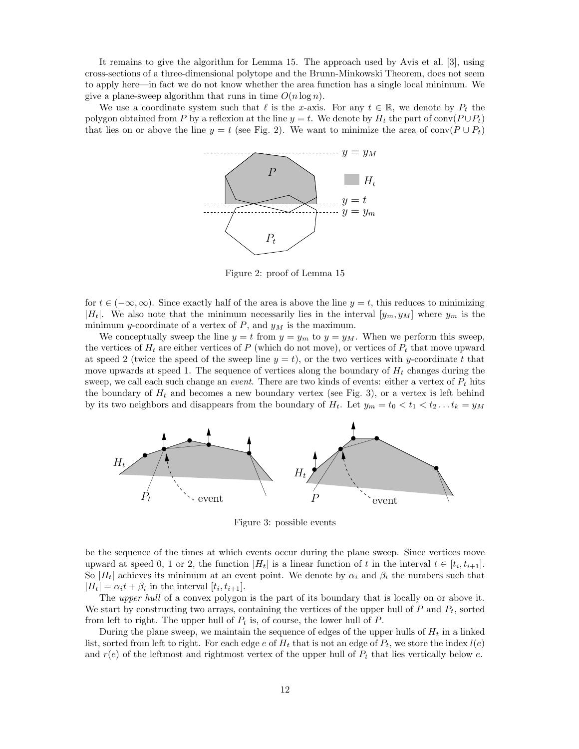It remains to give the algorithm for Lemma 15. The approach used by Avis et al. [3], using cross-sections of a three-dimensional polytope and the Brunn-Minkowski Theorem, does not seem to apply here—in fact we do not know whether the area function has a single local minimum. We give a plane-sweep algorithm that runs in time  $O(n \log n)$ .

We use a coordinate system such that  $\ell$  is the x-axis. For any  $t \in \mathbb{R}$ , we denote by  $P_t$  the polygon obtained from P by a reflexion at the line  $y = t$ . We denote by  $H_t$  the part of conv $(P \cup P_t)$ that lies on or above the line  $y = t$  (see Fig. 2). We want to minimize the area of conv( $P \cup P_t$ )



Figure 2: proof of Lemma 15

for  $t \in (-\infty, \infty)$ . Since exactly half of the area is above the line  $y = t$ , this reduces to minimizing  $|H_t|$ . We also note that the minimum necessarily lies in the interval  $[y_m, y_M]$  where  $y_m$  is the minimum y-coordinate of a vertex of  $P$ , and  $y_M$  is the maximum.

We conceptually sweep the line  $y = t$  from  $y = y_m$  to  $y = y_M$ . When we perform this sweep, the vertices of  $H_t$  are either vertices of P (which do not move), or vertices of  $P_t$  that move upward at speed 2 (twice the speed of the sweep line  $y = t$ ), or the two vertices with y-coordinate t that move upwards at speed 1. The sequence of vertices along the boundary of  $H_t$  changes during the sweep, we call each such change an *event*. There are two kinds of events: either a vertex of  $P_t$  hits the boundary of  $H_t$  and becomes a new boundary vertex (see Fig. 3), or a vertex is left behind by its two neighbors and disappears from the boundary of  $H_t$ . Let  $y_m = t_0 < t_1 < t_2 \ldots t_k = y_M$ 



Figure 3: possible events

be the sequence of the times at which events occur during the plane sweep. Since vertices move upward at speed 0, 1 or 2, the function  $|H_t|$  is a linear function of t in the interval  $t \in [t_i, t_{i+1}]$ . So  $|H_t|$  achieves its minimum at an event point. We denote by  $\alpha_i$  and  $\beta_i$  the numbers such that  $|H_t| = \alpha_i t + \beta_i$  in the interval  $[t_i, t_{i+1}].$ 

The *upper hull* of a convex polygon is the part of its boundary that is locally on or above it. We start by constructing two arrays, containing the vertices of the upper hull of  $P$  and  $P_t$ , sorted from left to right. The upper hull of  $P_t$  is, of course, the lower hull of  $P$ .

During the plane sweep, we maintain the sequence of edges of the upper hulls of  $H_t$  in a linked list, sorted from left to right. For each edge e of  $H_t$  that is not an edge of  $P_t$ , we store the index  $l(e)$ and  $r(e)$  of the leftmost and rightmost vertex of the upper hull of  $P_t$  that lies vertically below e.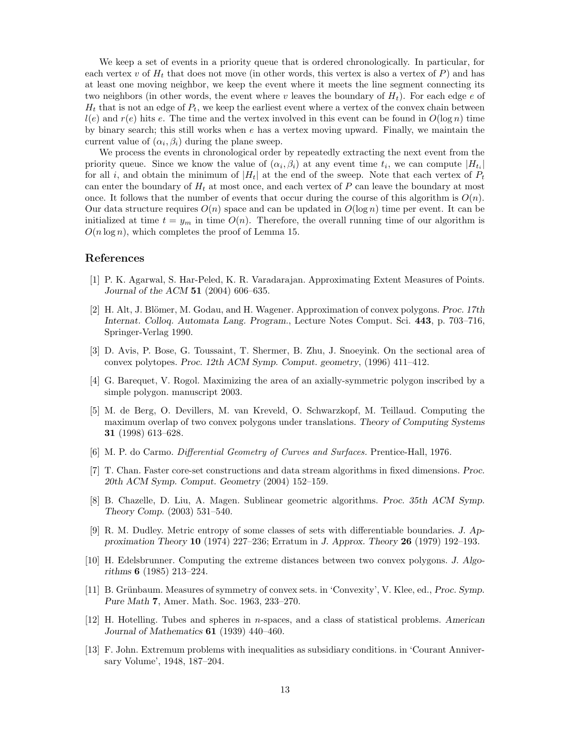We keep a set of events in a priority queue that is ordered chronologically. In particular, for each vertex v of  $H_t$  that does not move (in other words, this vertex is also a vertex of P) and has at least one moving neighbor, we keep the event where it meets the line segment connecting its two neighbors (in other words, the event where v leaves the boundary of  $H_t$ ). For each edge e of  $H_t$  that is not an edge of  $P_t$ , we keep the earliest event where a vertex of the convex chain between  $l(e)$  and  $r(e)$  hits e. The time and the vertex involved in this event can be found in  $O(\log n)$  time by binary search; this still works when e has a vertex moving upward. Finally, we maintain the current value of  $(\alpha_i, \beta_i)$  during the plane sweep.

We process the events in chronological order by repeatedly extracting the next event from the priority queue. Since we know the value of  $(\alpha_i, \beta_i)$  at any event time  $t_i$ , we can compute  $|H_{t_i}|$ for all i, and obtain the minimum of  $|H_t|$  at the end of the sweep. Note that each vertex of  $P_t$ can enter the boundary of  $H_t$  at most once, and each vertex of P can leave the boundary at most once. It follows that the number of events that occur during the course of this algorithm is  $O(n)$ . Our data structure requires  $O(n)$  space and can be updated in  $O(\log n)$  time per event. It can be initialized at time  $t = y_m$  in time  $O(n)$ . Therefore, the overall running time of our algorithm is  $O(n \log n)$ , which completes the proof of Lemma 15.

#### References

- [1] P. K. Agarwal, S. Har-Peled, K. R. Varadarajan. Approximating Extent Measures of Points. Journal of the ACM 51 (2004) 606–635.
- [2] H. Alt, J. Blömer, M. Godau, and H. Wagener. Approximation of convex polygons. Proc. 17th Internat. Colloq. Automata Lang. Program., Lecture Notes Comput. Sci. 443, p. 703–716, Springer-Verlag 1990.
- [3] D. Avis, P. Bose, G. Toussaint, T. Shermer, B. Zhu, J. Snoeyink. On the sectional area of convex polytopes. Proc. 12th ACM Symp. Comput. geometry, (1996) 411–412.
- [4] G. Barequet, V. Rogol. Maximizing the area of an axially-symmetric polygon inscribed by a simple polygon. manuscript 2003.
- [5] M. de Berg, O. Devillers, M. van Kreveld, O. Schwarzkopf, M. Teillaud. Computing the maximum overlap of two convex polygons under translations. Theory of Computing Systems 31 (1998) 613–628.
- [6] M. P. do Carmo. Differential Geometry of Curves and Surfaces. Prentice-Hall, 1976.
- [7] T. Chan. Faster core-set constructions and data stream algorithms in fixed dimensions. Proc. 20th ACM Symp. Comput. Geometry (2004) 152–159.
- [8] B. Chazelle, D. Liu, A. Magen. Sublinear geometric algorithms. Proc. 35th ACM Symp. Theory Comp. (2003) 531–540.
- [9] R. M. Dudley. Metric entropy of some classes of sets with differentiable boundaries. J. Approximation Theory 10 (1974) 227–236; Erratum in J. Approx. Theory 26 (1979) 192–193.
- [10] H. Edelsbrunner. Computing the extreme distances between two convex polygons. J. Algorithms 6 (1985) 213–224.
- [11] B. Grünbaum. Measures of symmetry of convex sets. in 'Convexity', V. Klee, ed., Proc. Symp. Pure Math 7, Amer. Math. Soc. 1963, 233–270.
- [12] H. Hotelling. Tubes and spheres in n-spaces, and a class of statistical problems. American Journal of Mathematics 61 (1939) 440–460.
- [13] F. John. Extremum problems with inequalities as subsidiary conditions. in 'Courant Anniversary Volume', 1948, 187–204.